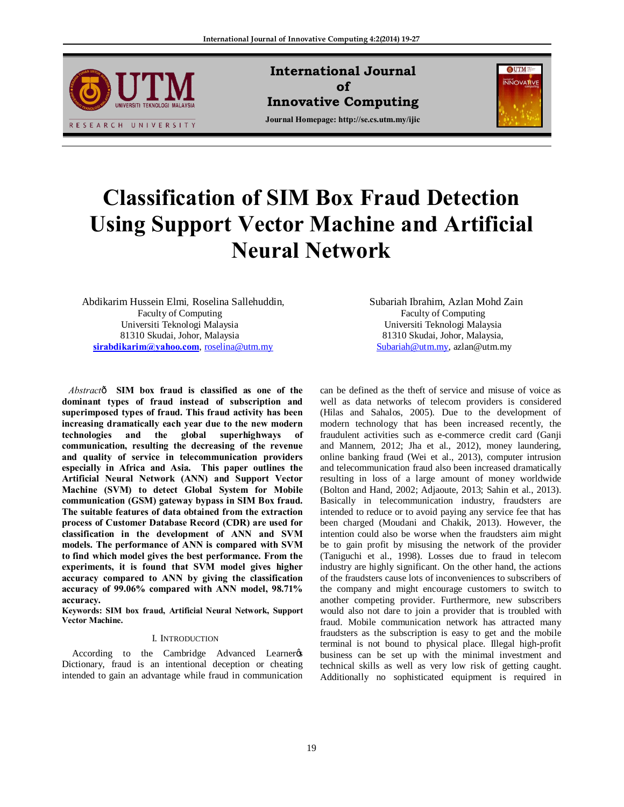

**International Journal of Innovative Computing Journal Homepage: http://se.cs.utm.my/ijic**



# **Classification of SIM Box Fraud Detection Using Support Vector Machine and Artificial Neural Network**

Abdikarim Hussein Elmi*,* Roselina Sallehuddin, Faculty of Computing Universiti Teknologi Malaysia 81310 Skudai, Johor, Malaysia **sirabdikarim@yahoo.com**, roselina@utm.my

*Abstract*— **SIM box fraud is classified as one of the dominant types of fraud instead of subscription and superimposed types of fraud. This fraud activity has been increasing dramatically each year due to the new modern technologies and the global superhighways of communication, resulting the decreasing of the revenue and quality of service in telecommunication providers especially in Africa and Asia. This paper outlines the Artificial Neural Network (ANN) and Support Vector Machine (SVM) to detect Global System for Mobile communication (GSM) gateway bypass in SIM Box fraud. The suitable features of data obtained from the extraction process of Customer Database Record (CDR) are used for classification in the development of ANN and SVM models. The performance of ANN is compared with SVM to find which model gives the best performance. From the experiments, it is found that SVM model gives higher accuracy compared to ANN by giving the classification accuracy of 99.06% compared with ANN model, 98.71% accuracy.** 

**Keywords: SIM box fraud, Artificial Neural Network, Support Vector Machine.**

## I. INTRODUCTION

According to the Cambridge Advanced Learner Dictionary, fraud is an intentional deception or cheating intended to gain an advantage while fraud in communication Subariah Ibrahim, Azlan Mohd Zain Faculty of Computing Universiti Teknologi Malaysia 81310 Skudai, Johor, Malaysia, Subariah@utm.my, azlan@utm.my

can be defined as the theft of service and misuse of voice as well as data networks of telecom providers is considered (Hilas and Sahalos, 2005). Due to the development of modern technology that has been increased recently, the fraudulent activities such as e-commerce credit card (Ganji and Mannem, 2012; Jha et al., 2012), money laundering, online banking fraud (Wei et al., 2013), computer intrusion and telecommunication fraud also been increased dramatically resulting in loss of a large amount of money worldwide (Bolton and Hand, 2002; Adjaoute, 2013; Sahin et al., 2013). Basically in telecommunication industry, fraudsters are intended to reduce or to avoid paying any service fee that has been charged (Moudani and Chakik, 2013). However, the intention could also be worse when the fraudsters aim might be to gain profit by misusing the network of the provider (Taniguchi et al., 1998). Losses due to fraud in telecom industry are highly significant. On the other hand, the actions of the fraudsters cause lots of inconveniences to subscribers of the company and might encourage customers to switch to another competing provider. Furthermore, new subscribers would also not dare to join a provider that is troubled with fraud. Mobile communication network has attracted many fraudsters as the subscription is easy to get and the mobile terminal is not bound to physical place. Illegal high-profit business can be set up with the minimal investment and technical skills as well as very low risk of getting caught. Additionally no sophisticated equipment is required in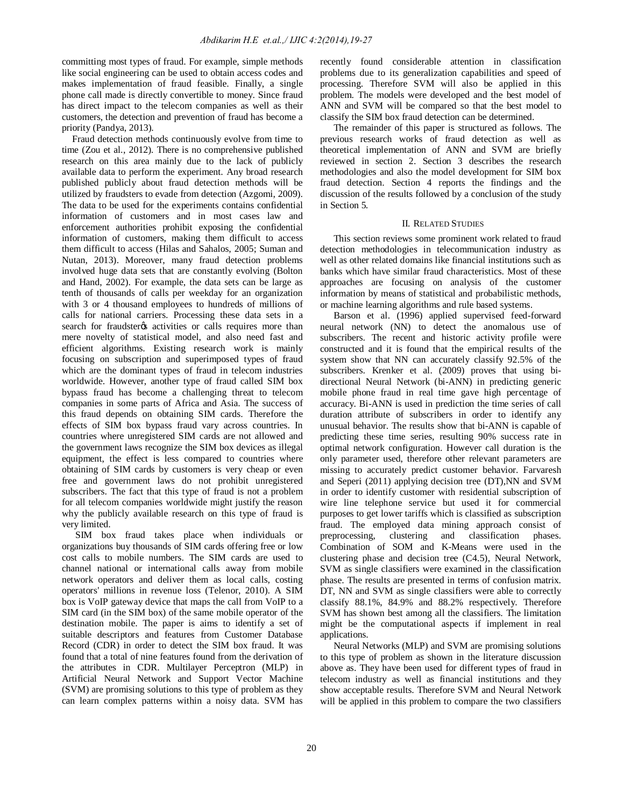committing most types of fraud. For example, simple methods like social engineering can be used to obtain access codes and makes implementation of fraud feasible. Finally, a single phone call made is directly convertible to money. Since fraud has direct impact to the telecom companies as well as their customers, the detection and prevention of fraud has become a priority (Pandya, 2013).

Fraud detection methods continuously evolve from time to time (Zou et al., 2012). There is no comprehensive published research on this area mainly due to the lack of publicly available data to perform the experiment. Any broad research published publicly about fraud detection methods will be utilized by fraudsters to evade from detection (Azgomi, 2009). The data to be used for the experiments contains confidential information of customers and in most cases law and enforcement authorities prohibit exposing the confidential information of customers, making them difficult to access them difficult to access (Hilas and Sahalos, 2005; Suman and Nutan, 2013). Moreover, many fraud detection problems involved huge data sets that are constantly evolving (Bolton and Hand, 2002). For example, the data sets can be large as tenth of thousands of calls per weekday for an organization with 3 or 4 thousand employees to hundreds of millions of calls for national carriers. Processing these data sets in a search for fraudster ts activities or calls requires more than mere novelty of statistical model, and also need fast and efficient algorithms. Existing research work is mainly focusing on subscription and superimposed types of fraud which are the dominant types of fraud in telecom industries worldwide. However, another type of fraud called SIM box bypass fraud has become a challenging threat to telecom companies in some parts of Africa and Asia. The success of this fraud depends on obtaining SIM cards. Therefore the effects of SIM box bypass fraud vary across countries. In countries where unregistered SIM cards are not allowed and the government laws recognize the SIM box devices as illegal equipment, the effect is less compared to countries where obtaining of SIM cards by customers is very cheap or even free and government laws do not prohibit unregistered subscribers. The fact that this type of fraud is not a problem for all telecom companies worldwide might justify the reason why the publicly available research on this type of fraud is very limited.

SIM box fraud takes place when individuals or organizations buy thousands of SIM cards offering free or low cost calls to mobile numbers. The SIM cards are used to channel national or international calls away from mobile network operators and deliver them as local calls, costing operators' millions in revenue loss (Telenor, 2010). A SIM box is VoIP gateway device that maps the call from VoIP to a SIM card (in the SIM box) of the same mobile operator of the destination mobile. The paper is aims to identify a set of suitable descriptors and features from Customer Database Record (CDR) in order to detect the SIM box fraud. It was found that a total of nine features found from the derivation of the attributes in CDR. Multilayer Perceptron (MLP) in Artificial Neural Network and Support Vector Machine (SVM) are promising solutions to this type of problem as they can learn complex patterns within a noisy data. SVM has

recently found considerable attention in classification problems due to its generalization capabilities and speed of processing. Therefore SVM will also be applied in this problem. The models were developed and the best model of ANN and SVM will be compared so that the best model to classify the SIM box fraud detection can be determined.

The remainder of this paper is structured as follows. The previous research works of fraud detection as well as theoretical implementation of ANN and SVM are briefly reviewed in section 2. Section 3 describes the research methodologies and also the model development for SIM box fraud detection. Section 4 reports the findings and the discussion of the results followed by a conclusion of the study in Section 5.

#### II. RELATED STUDIES

This section reviews some prominent work related to fraud detection methodologies in telecommunication industry as well as other related domains like financial institutions such as banks which have similar fraud characteristics. Most of these approaches are focusing on analysis of the customer information by means of statistical and probabilistic methods, or machine learning algorithms and rule based systems.

Barson et al. (1996) applied supervised feed-forward neural network (NN) to detect the anomalous use of subscribers. The recent and historic activity profile were constructed and it is found that the empirical results of the system show that NN can accurately classify 92.5% of the subscribers. Krenker et al. (2009) proves that using bidirectional Neural Network (bi-ANN) in predicting generic mobile phone fraud in real time gave high percentage of accuracy. Bi-ANN is used in prediction the time series of call duration attribute of subscribers in order to identify any unusual behavior. The results show that bi-ANN is capable of predicting these time series, resulting 90% success rate in optimal network configuration. However call duration is the only parameter used, therefore other relevant parameters are missing to accurately predict customer behavior. Farvaresh and Seperi (2011) applying decision tree (DT),NN and SVM in order to identify customer with residential subscription of wire line telephone service but used it for commercial purposes to get lower tariffs which is classified as subscription fraud. The employed data mining approach consist of preprocessing, clustering and classification phases. Combination of SOM and K-Means were used in the clustering phase and decision tree (C4.5), Neural Network, SVM as single classifiers were examined in the classification phase. The results are presented in terms of confusion matrix. DT, NN and SVM as single classifiers were able to correctly classify 88.1%, 84.9% and 88.2% respectively. Therefore SVM has shown best among all the classifiers. The limitation might be the computational aspects if implement in real applications.

Neural Networks (MLP) and SVM are promising solutions to this type of problem as shown in the literature discussion above as. They have been used for different types of fraud in telecom industry as well as financial institutions and they show acceptable results. Therefore SVM and Neural Network will be applied in this problem to compare the two classifiers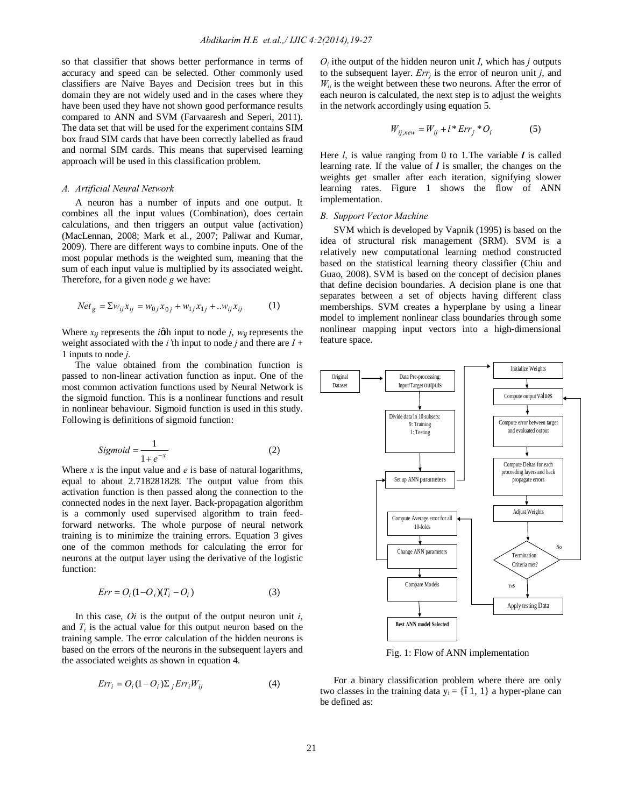so that classifier that shows better performance in terms of accuracy and speed can be selected. Other commonly used classifiers are Naïve Bayes and Decision trees but in this domain they are not widely used and in the cases where they have been used they have not shown good performance results compared to ANN and SVM (Farvaaresh and Seperi, 2011). The data set that will be used for the experiment contains SIM box fraud SIM cards that have been correctly labelled as fraud and normal SIM cards. This means that supervised learning approach will be used in this classification problem.

#### *A. Artificial Neural Network*

A neuron has a number of inputs and one output. It combines all the input values (Combination), does certain calculations, and then triggers an output value (activation) (MacLennan, 2008; Mark et al., 2007; Paliwar and Kumar, 2009). There are different ways to combine inputs. One of the most popular methods is the weighted sum, meaning that the sum of each input value is multiplied by its associated weight. Therefore, for a given node *g* we have:

$$
Net_{g} = \sum w_{ij} x_{ij} = w_{0j} x_{0j} + w_{1j} x_{1j} + ... w_{ij} x_{ij}
$$
 (1)

Where  $x_{ij}$  represents the *ig*th input to node *j*,  $w_{ij}$  represents the weight associated with the *i*<sup>'th</sup> input to node *j* and there are  $I +$ 1 inputs to node *j*.

The value obtained from the combination function is passed to non-linear activation function as input. One of the most common activation functions used by Neural Network is the sigmoid function. This is a nonlinear functions and result in nonlinear behaviour. Sigmoid function is used in this study. Following is definitions of sigmoid function:

$$
Sigmoid = \frac{1}{1 + e^{-x}}\tag{2}
$$

Where  $x$  is the input value and  $e$  is base of natural logarithms, equal to about 2.718281828. The output value from this activation function is then passed along the connection to the connected nodes in the next layer. Back-propagation algorithm is a commonly used supervised algorithm to train feedforward networks. The whole purpose of neural network training is to minimize the training errors. Equation 3 gives one of the common methods for calculating the error for neurons at the output layer using the derivative of the logistic function:

$$
Err = O_i(1 - O_i)(T_i - O_i)
$$
\n(3)

In this case, *Oi* is the output of the output neuron unit *i*, and  $T_i$  is the actual value for this output neuron based on the training sample. The error calculation of the hidden neurons is based on the errors of the neurons in the subsequent layers and the associated weights as shown in equation 4.

$$
Err_i = O_i (1 - O_i) \sum_j Err_iW_{ij}
$$
 (4)

 $O_i$  ithe output of the hidden neuron unit *I*, which has *j* outputs to the subsequent layer. *Err<sub>i</sub>* is the error of neuron unit *j*, and  $W_{ii}$  is the weight between these two neurons. After the error of each neuron is calculated, the next step is to adjust the weights in the network accordingly using equation 5.

$$
W_{ij,new} = W_{ij} + l \cdot Err_j \cdot O_i \tag{5}
$$

Here *l*, is value ranging from 0 to 1.The variable *l* is called learning rate. If the value of *l* is smaller, the changes on the weights get smaller after each iteration, signifying slower learning rates. Figure 1 shows the flow of ANN implementation.

#### *B. Support Vector Machine*

SVM which is developed by Vapnik (1995) is based on the idea of structural risk management (SRM). SVM is a relatively new computational learning method constructed based on the statistical learning theory classifier (Chiu and Guao, 2008). SVM is based on the concept of decision planes that define decision boundaries. A decision plane is one that separates between a set of objects having different class memberships. SVM creates a hyperplane by using a linear model to implement nonlinear class boundaries through some nonlinear mapping input vectors into a high-dimensional feature space.



Fig. 1: Flow of ANN implementation

For a binary classification problem where there are only two classes in the training data  $y_i = \{-1, 1\}$  a hyper-plane can be defined as: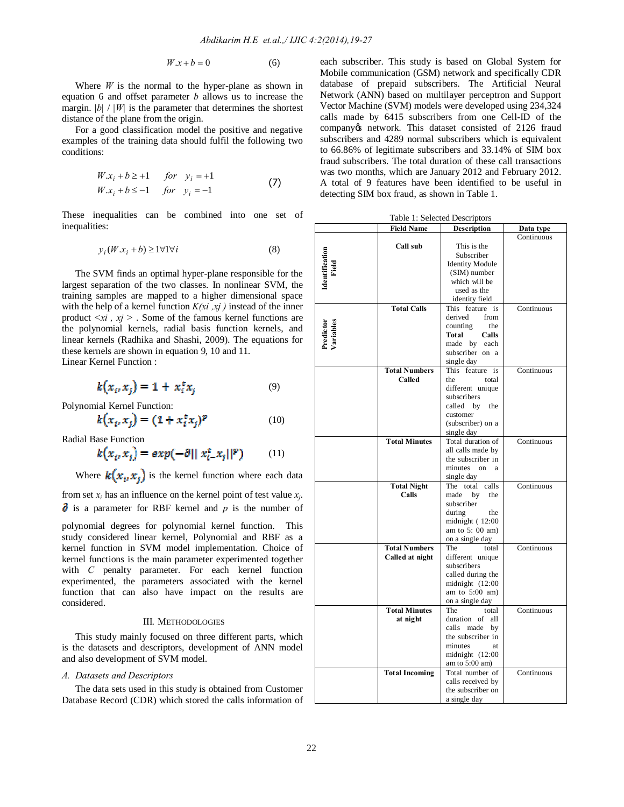$$
W \cdot x + b = 0 \tag{6}
$$

Where  $W$  is the normal to the hyper-plane as shown in equation 6 and offset parameter *b* allows us to increase the margin.  $|b| / |W|$  is the parameter that determines the shortest distance of the plane from the origin.

For a good classification model the positive and negative examples of the training data should fulfil the following two conditions:

$$
W.xi + b \ge +1 \quad for \quad yi = +1
$$
  
\n
$$
W.xi + b \le -1 \quad for \quad yi = -1
$$
\n(7)

These inequalities can be combined into one set of inequalities:

$$
y_i(W \cdot x_i + b) \ge 1 \forall 1 \forall i \tag{8}
$$

The SVM finds an optimal hyper-plane responsible for the largest separation of the two classes. In nonlinear SVM, the training samples are mapped to a higher dimensional space with the help of a kernel function *K(xi ,xj )* instead of the inner product  $\langle x_i, x_j \rangle$ . Some of the famous kernel functions are the polynomial kernels, radial basis function kernels, and linear kernels (Radhika and Shashi, 2009). The equations for these kernels are shown in equation 9, 10 and 11. Linear Kernel Function :

$$
k(x_i, x_j) = 1 + x_i^{\dagger} x_j \tag{9}
$$

Polynomial Kernel Function:

$$
k(x_i, x_j) = (1 + x_i^t x_j)^p \tag{10}
$$

Radial Base Function

$$
k(x_i, x_j) = exp(-\partial ||x_{i-}^{\text{t}} x_j||^p)
$$
 (11)

Where  $k(x_i, x_i)$  is the kernel function where each data

from set  $x_i$  has an influence on the kernel point of test value  $x_i$ . is a parameter for RBF kernel and *p* is the number of

polynomial degrees for polynomial kernel function. This study considered linear kernel, Polynomial and RBF as a kernel function in SVM model implementation. Choice of kernel functions is the main parameter experimented together with *C* penalty parameter. For each kernel function experimented, the parameters associated with the kernel function that can also have impact on the results are considered.

### III. METHODOLOGIES

This study mainly focused on three different parts, which is the datasets and descriptors, development of ANN model and also development of SVM model.

## *A. Datasets and Descriptors*

The data sets used in this study is obtained from Customer Database Record (CDR) which stored the calls information of each subscriber. This study is based on Global System for Mobile communication (GSM) network and specifically CDR database of prepaid subscribers. The Artificial Neural Network (ANN) based on multilayer perceptron and Support Vector Machine (SVM) models were developed using 234,324 calls made by 6415 subscribers from one Cell-ID of the company *o* network. This dataset consisted of 2126 fraud subscribers and 4289 normal subscribers which is equivalent to 66.86% of legitimate subscribers and 33.14% of SIM box fraud subscribers. The total duration of these call transactions was two months, which are January 2012 and February 2012. A total of 9 features have been identified to be useful in detecting SIM box fraud, as shown in Table 1.

| Table 1: Selected Descriptors |  |
|-------------------------------|--|
|-------------------------------|--|

|                                | Field Name            | Description                     | Data type  |
|--------------------------------|-----------------------|---------------------------------|------------|
|                                |                       |                                 | Continuous |
|                                | Call sub              | This is the                     |            |
| <b>Identification</b><br>Field |                       | Subscriber                      |            |
|                                |                       | <b>Identity Module</b>          |            |
|                                |                       | (SIM) number                    |            |
|                                |                       | which will be                   |            |
|                                |                       | used as the                     |            |
|                                |                       | identity field                  |            |
|                                | <b>Total Calls</b>    | This feature is                 | Continuous |
|                                |                       | derived<br>from                 |            |
| Predictor<br>Variables         |                       | counting<br>the                 |            |
|                                |                       | Total<br>Calls                  |            |
|                                |                       | made by each                    |            |
|                                |                       | subscriber on a                 |            |
|                                |                       | single day                      |            |
|                                | <b>Total Numbers</b>  | This feature is                 | Continuous |
|                                | Called                | the<br>total                    |            |
|                                |                       | different unique                |            |
|                                |                       | subscribers                     |            |
|                                |                       | called<br>by<br>the             |            |
|                                |                       | customer                        |            |
|                                |                       | (subscriber) on a               |            |
|                                | <b>Total Minutes</b>  | single day<br>Total duration of | Continuous |
|                                |                       | all calls made by               |            |
|                                |                       | the subscriber in               |            |
|                                |                       | minutes<br>$_{\rm on}$<br>a     |            |
|                                |                       | single day                      |            |
|                                | <b>Total Night</b>    | The total calls                 | Continuous |
|                                | Calls                 | made<br>by<br>the               |            |
|                                |                       | subscriber                      |            |
|                                |                       | during<br>the                   |            |
|                                |                       | midnight $(12:00)$              |            |
|                                |                       | am to $5:00$ am)                |            |
|                                |                       | on a single day                 |            |
|                                | <b>Total Numbers</b>  | The<br>total                    | Continuous |
|                                | Called at night       | different unique                |            |
|                                |                       | subscribers                     |            |
|                                |                       | called during the               |            |
|                                |                       | midnight $(12:00)$              |            |
|                                |                       | am to $5:00$ am)                |            |
|                                |                       | on a single day                 |            |
|                                | <b>Total Minutes</b>  | The<br>total                    | Continuous |
|                                | at night              | duration of<br>all              |            |
|                                |                       | calls made<br>by                |            |
|                                |                       | the subscriber in               |            |
|                                |                       | minutes<br>at                   |            |
|                                |                       | midnight $(12:00)$              |            |
|                                |                       | am to 5:00 am)                  |            |
|                                | <b>Total Incoming</b> | Total number of                 | Continuous |
|                                |                       | calls received by               |            |
|                                |                       | the subscriber on               |            |
|                                |                       | a single day                    |            |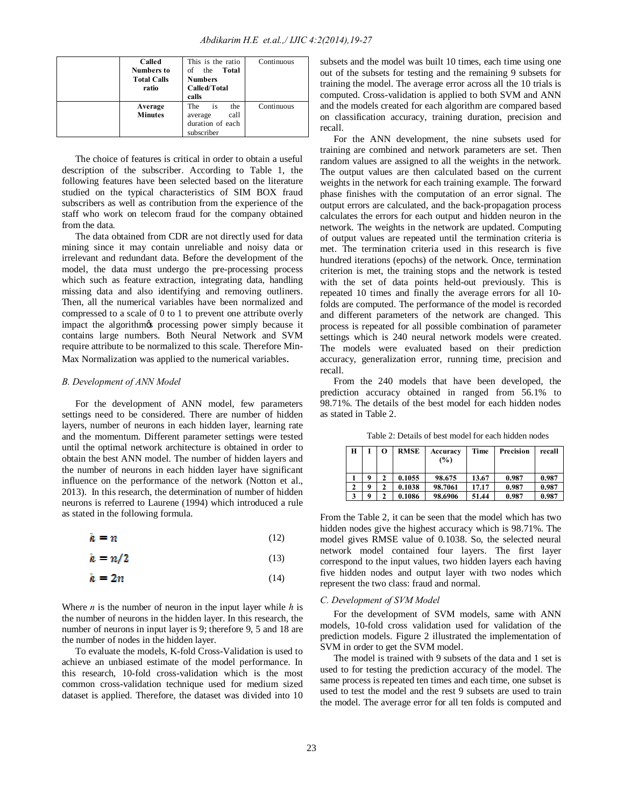| Called<br><b>Numbers to</b><br><b>Total Calls</b><br>ratio | This is the ratio<br>Total<br>the<br>of<br><b>Numbers</b><br>Called/Total<br>calls | Continuous |
|------------------------------------------------------------|------------------------------------------------------------------------------------|------------|
| Average<br><b>Minutes</b>                                  | The<br>the<br>is<br>call<br>average<br>duration of each<br>subscriber              | Continuous |

The choice of features is critical in order to obtain a useful description of the subscriber. According to Table 1, the following features have been selected based on the literature studied on the typical characteristics of SIM BOX fraud subscribers as well as contribution from the experience of the staff who work on telecom fraud for the company obtained from the data.

The data obtained from CDR are not directly used for data mining since it may contain unreliable and noisy data or irrelevant and redundant data. Before the development of the model, the data must undergo the pre-processing process which such as feature extraction, integrating data, handling missing data and also identifying and removing outliners. Then, all the numerical variables have been normalized and compressed to a scale of 0 to 1 to prevent one attribute overly impact the algorithms processing power simply because it contains large numbers. Both Neural Network and SVM require attribute to be normalized to this scale. Therefore Min-Max Normalization was applied to the numerical variables.

## *B. Development of ANN Model*

For the development of ANN model, few parameters settings need to be considered. There are number of hidden layers, number of neurons in each hidden layer, learning rate and the momentum. Different parameter settings were tested until the optimal network architecture is obtained in order to obtain the best ANN model. The number of hidden layers and the number of neurons in each hidden layer have significant influence on the performance of the network (Notton et al., 2013). In this research, the determination of number of hidden neurons is referred to Laurene (1994) which introduced a rule as stated in the following formula.

$$
h = n \tag{12}
$$

$$
h = n/2 \tag{13}
$$

$$
h = 2n \tag{14}
$$

Where *n* is the number of neuron in the input layer while *h* is the number of neurons in the hidden layer. In this research, the number of neurons in input layer is 9; therefore 9, 5 and 18 are the number of nodes in the hidden layer.

To evaluate the models, K-fold Cross-Validation is used to achieve an unbiased estimate of the model performance. In this research, 10-fold cross-validation which is the most common cross-validation technique used for medium sized dataset is applied. Therefore, the dataset was divided into 10

subsets and the model was built 10 times, each time using one out of the subsets for testing and the remaining 9 subsets for training the model. The average error across all the 10 trials is computed. Cross-validation is applied to both SVM and ANN and the models created for each algorithm are compared based on classification accuracy, training duration, precision and recall.

For the ANN development, the nine subsets used for training are combined and network parameters are set. Then random values are assigned to all the weights in the network. The output values are then calculated based on the current weights in the network for each training example. The forward phase finishes with the computation of an error signal. The output errors are calculated, and the back-propagation process calculates the errors for each output and hidden neuron in the network. The weights in the network are updated. Computing of output values are repeated until the termination criteria is met. The termination criteria used in this research is five hundred iterations (epochs) of the network. Once, termination criterion is met, the training stops and the network is tested with the set of data points held-out previously. This is repeated 10 times and finally the average errors for all 10 folds are computed. The performance of the model is recorded and different parameters of the network are changed. This process is repeated for all possible combination of parameter settings which is 240 neural network models were created. The models were evaluated based on their prediction accuracy, generalization error, running time, precision and recall.

From the 240 models that have been developed, the prediction accuracy obtained in ranged from 56.1% to 98.71%. The details of the best model for each hidden nodes as stated in Table 2.

Table 2: Details of best model for each hidden nodes

| Н |   | о | <b>RMSE</b> | Accuracy<br>(%) | Time  | Precision | recall |
|---|---|---|-------------|-----------------|-------|-----------|--------|
|   |   |   | 0.1055      | 98.675          | 13.67 | 0.987     | 0.987  |
|   | Q |   | 0.1038      | 98.7061         | 17.17 | 0.987     | 0.987  |
| 3 | Q |   | 0.1086      | 98.6906         | 51.44 | 0.987     | 0.987  |

From the Table 2, it can be seen that the model which has two hidden nodes give the highest accuracy which is 98.71%. The model gives RMSE value of 0.1038. So, the selected neural network model contained four layers. The first layer correspond to the input values, two hidden layers each having five hidden nodes and output layer with two nodes which represent the two class: fraud and normal.

## *C. Development of SVM Model*

For the development of SVM models, same with ANN models, 10-fold cross validation used for validation of the prediction models. Figure 2 illustrated the implementation of SVM in order to get the SVM model.

The model is trained with 9 subsets of the data and 1 set is used to for testing the prediction accuracy of the model. The same process is repeated ten times and each time, one subset is used to test the model and the rest 9 subsets are used to train the model. The average error for all ten folds is computed and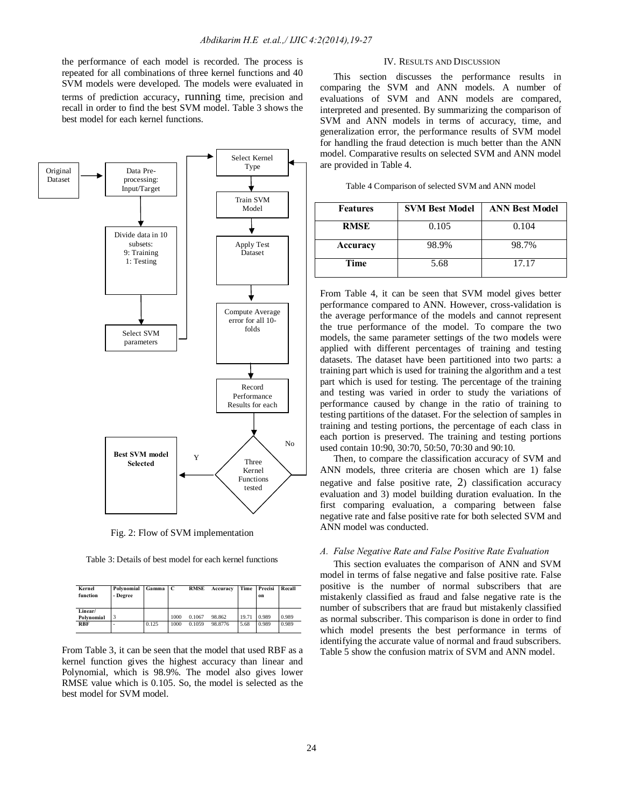the performance of each model is recorded. The process is repeated for all combinations of three kernel functions and 40 SVM models were developed. The models were evaluated in terms of prediction accuracy, running time, precision and recall in order to find the best SVM model. Table 3 shows the best model for each kernel functions.



Fig. 2: Flow of SVM implementation

Table 3: Details of best model for each kernel functions

| Kernel<br>function    | Polynomial<br>- Degree | Gamma | l C  | <b>RMSE</b> | Accuracy | Time  | Precisi<br>on | Recall |
|-----------------------|------------------------|-------|------|-------------|----------|-------|---------------|--------|
| Linear/<br>Polynomial |                        |       | 1000 | 0.1067      | 98.862   | 19.71 | 0.989         | 0.989  |
| <b>RBF</b>            | ٠                      | 0.125 | 1000 | 0.1059      | 98.8776  | 5.68  | 0.989         | 0.989  |

From Table 3, it can be seen that the model that used RBF as a kernel function gives the highest accuracy than linear and Polynomial, which is 98.9%. The model also gives lower RMSE value which is 0.105. So, the model is selected as the best model for SVM model.

#### IV. RESULTS AND DISCUSSION

This section discusses the performance results in comparing the SVM and ANN models. A number of evaluations of SVM and ANN models are compared, interpreted and presented. By summarizing the comparison of SVM and ANN models in terms of accuracy, time, and generalization error, the performance results of SVM model for handling the fraud detection is much better than the ANN model. Comparative results on selected SVM and ANN model are provided in Table 4.

| Table 4 Comparison of selected SVM and ANN model |  |  |  |
|--------------------------------------------------|--|--|--|
|--------------------------------------------------|--|--|--|

| <b>Features</b> | <b>SVM Best Model</b> | <b>ANN Best Model</b> |  |  |
|-----------------|-----------------------|-----------------------|--|--|
| <b>RMSE</b>     | 0.105                 | 0.104                 |  |  |
| Accuracy        | 98.9%                 | 98.7%                 |  |  |
| Time            | 5.68                  | 17.17                 |  |  |

From Table 4, it can be seen that SVM model gives better performance compared to ANN. However, cross-validation is the average performance of the models and cannot represent the true performance of the model. To compare the two models, the same parameter settings of the two models were applied with different percentages of training and testing datasets. The dataset have been partitioned into two parts: a training part which is used for training the algorithm and a test part which is used for testing. The percentage of the training and testing was varied in order to study the variations of performance caused by change in the ratio of training to testing partitions of the dataset. For the selection of samples in training and testing portions, the percentage of each class in each portion is preserved. The training and testing portions used contain 10:90, 30:70, 50:50, 70:30 and 90:10.

Then, to compare the classification accuracy of SVM and ANN models, three criteria are chosen which are 1) false negative and false positive rate, 2) classification accuracy evaluation and 3) model building duration evaluation. In the first comparing evaluation, a comparing between false negative rate and false positive rate for both selected SVM and ANN model was conducted.

#### *A. False Negative Rate and False Positive Rate Evaluation*

This section evaluates the comparison of ANN and SVM model in terms of false negative and false positive rate. False positive is the number of normal subscribers that are mistakenly classified as fraud and false negative rate is the number of subscribers that are fraud but mistakenly classified as normal subscriber. This comparison is done in order to find which model presents the best performance in terms of identifying the accurate value of normal and fraud subscribers. Table 5 show the confusion matrix of SVM and ANN model.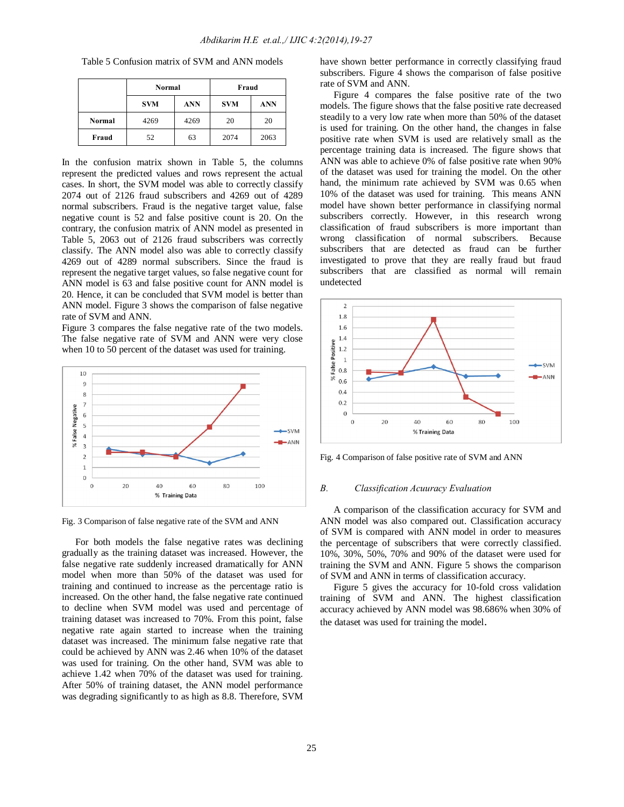|        | Normal<br><b>ANN</b><br><b>SVM</b> |      | Fraud      |            |
|--------|------------------------------------|------|------------|------------|
|        |                                    |      | <b>SVM</b> | <b>ANN</b> |
| Normal | 4269                               | 4269 | 20         | 20         |
| Fraud  | 52                                 | 63   | 2074       | 2063       |

Table 5 Confusion matrix of SVM and ANN models

In the confusion matrix shown in Table 5, the columns represent the predicted values and rows represent the actual cases. In short, the SVM model was able to correctly classify 2074 out of 2126 fraud subscribers and 4269 out of 4289 normal subscribers. Fraud is the negative target value, false negative count is 52 and false positive count is 20. On the contrary, the confusion matrix of ANN model as presented in Table 5, 2063 out of 2126 fraud subscribers was correctly classify. The ANN model also was able to correctly classify 4269 out of 4289 normal subscribers. Since the fraud is represent the negative target values, so false negative count for ANN model is 63 and false positive count for ANN model is 20. Hence, it can be concluded that SVM model is better than ANN model. Figure 3 shows the comparison of false negative rate of SVM and ANN.

Figure 3 compares the false negative rate of the two models. The false negative rate of SVM and ANN were very close when 10 to 50 percent of the dataset was used for training.



Fig. 3 Comparison of false negative rate of the SVM and ANN

For both models the false negative rates was declining gradually as the training dataset was increased. However, the false negative rate suddenly increased dramatically for ANN model when more than 50% of the dataset was used for training and continued to increase as the percentage ratio is increased. On the other hand, the false negative rate continued to decline when SVM model was used and percentage of training dataset was increased to 70%. From this point, false negative rate again started to increase when the training dataset was increased. The minimum false negative rate that could be achieved by ANN was 2.46 when 10% of the dataset was used for training. On the other hand, SVM was able to achieve 1.42 when 70% of the dataset was used for training. After 50% of training dataset, the ANN model performance was degrading significantly to as high as 8.8. Therefore, SVM

have shown better performance in correctly classifying fraud subscribers. Figure 4 shows the comparison of false positive rate of SVM and ANN.

Figure 4 compares the false positive rate of the two models. The figure shows that the false positive rate decreased steadily to a very low rate when more than 50% of the dataset is used for training. On the other hand, the changes in false positive rate when SVM is used are relatively small as the percentage training data is increased. The figure shows that ANN was able to achieve 0% of false positive rate when 90% of the dataset was used for training the model. On the other hand, the minimum rate achieved by SVM was 0.65 when 10% of the dataset was used for training. This means ANN model have shown better performance in classifying normal subscribers correctly. However, in this research wrong classification of fraud subscribers is more important than wrong classification of normal subscribers. Because subscribers that are detected as fraud can be further investigated to prove that they are really fraud but fraud subscribers that are classified as normal will remain undetected



Fig. 4 Comparison of false positive rate of SVM and ANN

## *B. Classification Acuuracy Evaluation*

A comparison of the classification accuracy for SVM and ANN model was also compared out. Classification accuracy of SVM is compared with ANN model in order to measures the percentage of subscribers that were correctly classified. 10%, 30%, 50%, 70% and 90% of the dataset were used for training the SVM and ANN. Figure 5 shows the comparison of SVM and ANN in terms of classification accuracy.

Figure 5 gives the accuracy for 10-fold cross validation training of SVM and ANN. The highest classification accuracy achieved by ANN model was 98.686% when 30% of the dataset was used for training the model.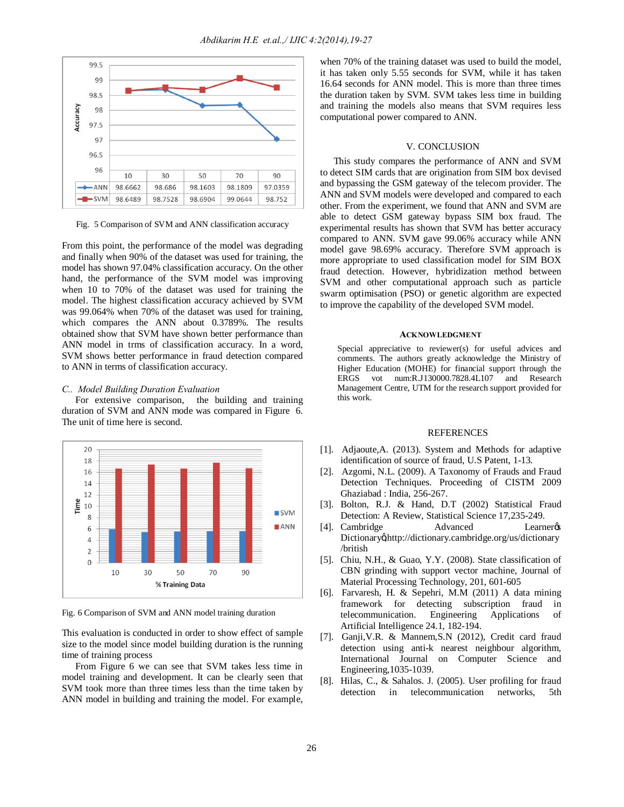

Fig. 5 Comparison of SVM and ANN classification accuracy

From this point, the performance of the model was degrading and finally when 90% of the dataset was used for training, the model has shown 97.04% classification accuracy. On the other hand, the performance of the SVM model was improving when 10 to 70% of the dataset was used for training the model. The highest classification accuracy achieved by SVM was 99.064% when 70% of the dataset was used for training, which compares the ANN about 0.3789%. The results obtained show that SVM have shown better performance than ANN model in trms of classification accuracy. In a word, SVM shows better performance in fraud detection compared to ANN in terms of classification accuracy.

#### *C.. Model Building Duration Evaluation*

For extensive comparison, the building and training duration of SVM and ANN mode was compared in Figure 6. The unit of time here is second.



Fig. 6 Comparison of SVM and ANN model training duration

This evaluation is conducted in order to show effect of sample size to the model since model building duration is the running time of training process

From Figure 6 we can see that SVM takes less time in model training and development. It can be clearly seen that SVM took more than three times less than the time taken by ANN model in building and training the model. For example,

when 70% of the training dataset was used to build the model, it has taken only 5.55 seconds for SVM, while it has taken 16.64 seconds for ANN model. This is more than three times the duration taken by SVM. SVM takes less time in building and training the models also means that SVM requires less computational power compared to ANN.

## V. CONCLUSION

This study compares the performance of ANN and SVM to detect SIM cards that are origination from SIM box devised and bypassing the GSM gateway of the telecom provider. The ANN and SVM models were developed and compared to each other. From the experiment, we found that ANN and SVM are able to detect GSM gateway bypass SIM box fraud. The experimental results has shown that SVM has better accuracy compared to ANN. SVM gave 99.06% accuracy while ANN model gave 98.69% accuracy. Therefore SVM approach is more appropriate to used classification model for SIM BOX fraud detection. However, hybridization method between SVM and other computational approach such as particle swarm optimisation (PSO) or genetic algorithm are expected to improve the capability of the developed SVM model.

## **ACKNOWLEDGMENT**

Special appreciative to reviewer(s) for useful advices and comments. The authors greatly acknowledge the Ministry of Higher Education (MOHE) for financial support through the ERGS vot num:R.J130000.7828.4L107 and Research Management Centre, UTM for the research support provided for this work.

### **REFERENCES**

- [1]. Adjaoute,A. (2013). System and Methods for adaptive identification of source of fraud, U.S Patent, 1-13.
- [2]. Azgomi, N.L. (2009). A Taxonomy of Frauds and Fraud Detection Techniques. Proceeding of CISTM 2009 Ghaziabad : India, 256-267.
- [3]. Bolton, R.J. & Hand, D.T (2002) Statistical Fraud Detection: A Review, Statistical Science 17,235-249.
- [4]. Cambridge **Advanced** Learner Dictionary&http://dictionary.cambridge.org/us/dictionary /british
- [5]. Chiu, N.H., & Guao, Y.Y. (2008). State classification of CBN grinding with support vector machine, Journal of Material Processing Technology, 201, 601-605
- [6]. Farvaresh, H. & Sepehri, M.M (2011) A data mining framework for detecting subscription fraud in telecommunication. Engineering Applications of Artificial Intelligence 24.1, 182-194.
- [7]. Ganji,V.R. & Mannem,S.N (2012), Credit card fraud detection using anti-k nearest neighbour algorithm, International Journal on Computer Science and Engineering,1035-1039.
- [8]. Hilas, C., & Sahalos. J. (2005). User profiling for fraud detection in telecommunication networks, 5th